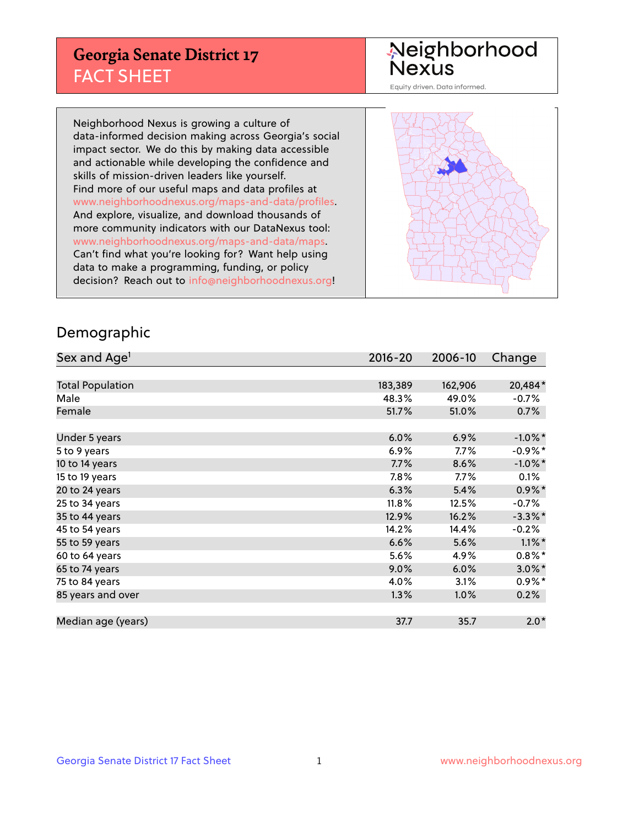## **Georgia Senate District 17** FACT SHEET

# Neighborhood<br>Nexus

Equity driven. Data informed.

Neighborhood Nexus is growing a culture of data-informed decision making across Georgia's social impact sector. We do this by making data accessible and actionable while developing the confidence and skills of mission-driven leaders like yourself. Find more of our useful maps and data profiles at www.neighborhoodnexus.org/maps-and-data/profiles. And explore, visualize, and download thousands of more community indicators with our DataNexus tool: www.neighborhoodnexus.org/maps-and-data/maps. Can't find what you're looking for? Want help using data to make a programming, funding, or policy decision? Reach out to [info@neighborhoodnexus.org!](mailto:info@neighborhoodnexus.org)



### Demographic

| Sex and Age <sup>1</sup> | $2016 - 20$ | 2006-10 | Change     |
|--------------------------|-------------|---------|------------|
|                          |             |         |            |
| <b>Total Population</b>  | 183,389     | 162,906 | 20,484*    |
| Male                     | 48.3%       | 49.0%   | $-0.7%$    |
| Female                   | 51.7%       | 51.0%   | 0.7%       |
|                          |             |         |            |
| Under 5 years            | 6.0%        | 6.9%    | $-1.0\%$ * |
| 5 to 9 years             | $6.9\%$     | $7.7\%$ | $-0.9\%$ * |
| 10 to 14 years           | 7.7%        | 8.6%    | $-1.0\%$ * |
| 15 to 19 years           | 7.8%        | 7.7%    | 0.1%       |
| 20 to 24 years           | 6.3%        | 5.4%    | $0.9\%$ *  |
| 25 to 34 years           | 11.8%       | 12.5%   | $-0.7%$    |
| 35 to 44 years           | 12.9%       | 16.2%   | $-3.3\%$ * |
| 45 to 54 years           | 14.2%       | 14.4%   | $-0.2%$    |
| 55 to 59 years           | 6.6%        | 5.6%    | $1.1\%$ *  |
| 60 to 64 years           | 5.6%        | 4.9%    | $0.8\%$ *  |
| 65 to 74 years           | $9.0\%$     | 6.0%    | $3.0\%$ *  |
| 75 to 84 years           | 4.0%        | 3.1%    | $0.9\%$ *  |
| 85 years and over        | 1.3%        | 1.0%    | 0.2%       |
|                          |             |         |            |
| Median age (years)       | 37.7        | 35.7    | $2.0*$     |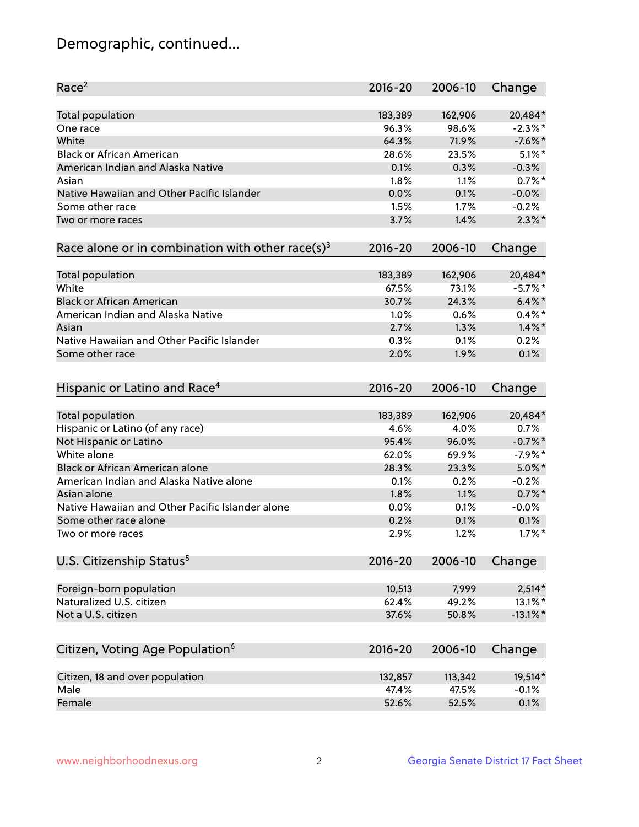## Demographic, continued...

| Race <sup>2</sup>                                            | $2016 - 20$ | 2006-10 | Change      |
|--------------------------------------------------------------|-------------|---------|-------------|
| <b>Total population</b>                                      | 183,389     | 162,906 | 20,484*     |
| One race                                                     | 96.3%       | 98.6%   | $-2.3\%$ *  |
| White                                                        | 64.3%       | 71.9%   | $-7.6%$ *   |
| <b>Black or African American</b>                             | 28.6%       | 23.5%   | $5.1\%$ *   |
| American Indian and Alaska Native                            | 0.1%        | 0.3%    | $-0.3%$     |
| Asian                                                        | 1.8%        | 1.1%    | $0.7%$ *    |
| Native Hawaiian and Other Pacific Islander                   | 0.0%        | 0.1%    | $-0.0%$     |
| Some other race                                              | 1.5%        | 1.7%    | $-0.2%$     |
| Two or more races                                            | 3.7%        | 1.4%    | $2.3\%$ *   |
| Race alone or in combination with other race(s) <sup>3</sup> | $2016 - 20$ | 2006-10 | Change      |
| Total population                                             | 183,389     | 162,906 | 20,484*     |
| White                                                        | 67.5%       | 73.1%   | $-5.7\%$ *  |
| <b>Black or African American</b>                             | 30.7%       | 24.3%   | $6.4\%$ *   |
| American Indian and Alaska Native                            | 1.0%        | 0.6%    | $0.4\%$ *   |
| Asian                                                        | 2.7%        | 1.3%    | $1.4\%$ *   |
| Native Hawaiian and Other Pacific Islander                   | 0.3%        | 0.1%    | 0.2%        |
| Some other race                                              | 2.0%        | 1.9%    | 0.1%        |
| Hispanic or Latino and Race <sup>4</sup>                     | $2016 - 20$ | 2006-10 | Change      |
| <b>Total population</b>                                      | 183,389     | 162,906 | 20,484*     |
| Hispanic or Latino (of any race)                             | 4.6%        | 4.0%    | 0.7%        |
| Not Hispanic or Latino                                       | 95.4%       | 96.0%   | $-0.7%$ *   |
| White alone                                                  | 62.0%       | 69.9%   | $-7.9%$ *   |
| <b>Black or African American alone</b>                       | 28.3%       | 23.3%   | $5.0\%$ *   |
| American Indian and Alaska Native alone                      | 0.1%        | 0.2%    | $-0.2%$     |
| Asian alone                                                  | 1.8%        | 1.1%    | $0.7%$ *    |
| Native Hawaiian and Other Pacific Islander alone             | 0.0%        | 0.1%    | $-0.0%$     |
| Some other race alone                                        | 0.2%        | 0.1%    | 0.1%        |
| Two or more races                                            | 2.9%        | 1.2%    | $1.7\%$ *   |
| U.S. Citizenship Status <sup>5</sup>                         | $2016 - 20$ | 2006-10 | Change      |
| Foreign-born population                                      | 10,513      | 7,999   | $2,514*$    |
| Naturalized U.S. citizen                                     | 62.4%       | 49.2%   | 13.1%*      |
| Not a U.S. citizen                                           | 37.6%       | 50.8%   | $-13.1\%$ * |
|                                                              |             |         |             |
| Citizen, Voting Age Population <sup>6</sup>                  | $2016 - 20$ | 2006-10 | Change      |
| Citizen, 18 and over population                              | 132,857     | 113,342 | 19,514*     |
| Male                                                         | 47.4%       | 47.5%   | $-0.1%$     |
| Female                                                       | 52.6%       | 52.5%   | 0.1%        |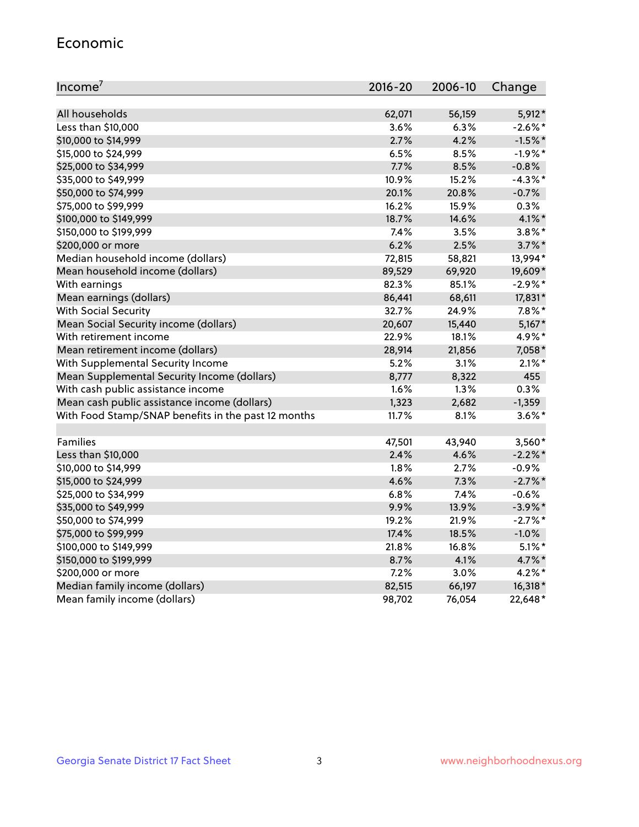#### Economic

| Income <sup>7</sup>                                 | 2016-20 | 2006-10 | Change     |
|-----------------------------------------------------|---------|---------|------------|
|                                                     |         |         |            |
| All households                                      | 62,071  | 56,159  | 5,912*     |
| Less than \$10,000                                  | 3.6%    | 6.3%    | $-2.6\%$ * |
| \$10,000 to \$14,999                                | 2.7%    | 4.2%    | $-1.5%$ *  |
| \$15,000 to \$24,999                                | 6.5%    | 8.5%    | $-1.9%$ *  |
| \$25,000 to \$34,999                                | 7.7%    | 8.5%    | $-0.8%$    |
| \$35,000 to \$49,999                                | 10.9%   | 15.2%   | $-4.3\%$ * |
| \$50,000 to \$74,999                                | 20.1%   | 20.8%   | $-0.7%$    |
| \$75,000 to \$99,999                                | 16.2%   | 15.9%   | 0.3%       |
| \$100,000 to \$149,999                              | 18.7%   | 14.6%   | $4.1\%$ *  |
| \$150,000 to \$199,999                              | 7.4%    | 3.5%    | $3.8\%$ *  |
| \$200,000 or more                                   | 6.2%    | 2.5%    | $3.7\%$ *  |
| Median household income (dollars)                   | 72,815  | 58,821  | 13,994*    |
| Mean household income (dollars)                     | 89,529  | 69,920  | 19,609*    |
| With earnings                                       | 82.3%   | 85.1%   | $-2.9\%$ * |
| Mean earnings (dollars)                             | 86,441  | 68,611  | 17,831*    |
| <b>With Social Security</b>                         | 32.7%   | 24.9%   | $7.8\%$ *  |
| Mean Social Security income (dollars)               | 20,607  | 15,440  | $5,167*$   |
| With retirement income                              | 22.9%   | 18.1%   | 4.9%*      |
| Mean retirement income (dollars)                    | 28,914  | 21,856  | 7,058*     |
| With Supplemental Security Income                   | 5.2%    | $3.1\%$ | $2.1\%$ *  |
| Mean Supplemental Security Income (dollars)         | 8,777   | 8,322   | 455        |
| With cash public assistance income                  | 1.6%    | 1.3%    | 0.3%       |
| Mean cash public assistance income (dollars)        | 1,323   | 2,682   | $-1,359$   |
| With Food Stamp/SNAP benefits in the past 12 months | 11.7%   | 8.1%    | $3.6\%$ *  |
|                                                     |         |         |            |
| Families                                            | 47,501  | 43,940  | $3,560*$   |
| Less than \$10,000                                  | 2.4%    | 4.6%    | $-2.2%$ *  |
| \$10,000 to \$14,999                                | 1.8%    | 2.7%    | $-0.9%$    |
| \$15,000 to \$24,999                                | 4.6%    | 7.3%    | $-2.7%$ *  |
| \$25,000 to \$34,999                                | 6.8%    | 7.4%    | $-0.6%$    |
| \$35,000 to \$49,999                                | 9.9%    | 13.9%   | $-3.9\%$ * |
| \$50,000 to \$74,999                                | 19.2%   | 21.9%   | $-2.7\%$ * |
| \$75,000 to \$99,999                                | 17.4%   | 18.5%   | $-1.0%$    |
| \$100,000 to \$149,999                              | 21.8%   | 16.8%   | $5.1\%$ *  |
| \$150,000 to \$199,999                              | 8.7%    | 4.1%    | 4.7%*      |
| \$200,000 or more                                   | 7.2%    | 3.0%    | 4.2%*      |
| Median family income (dollars)                      | 82,515  | 66,197  | 16,318*    |
| Mean family income (dollars)                        | 98,702  | 76,054  | 22,648*    |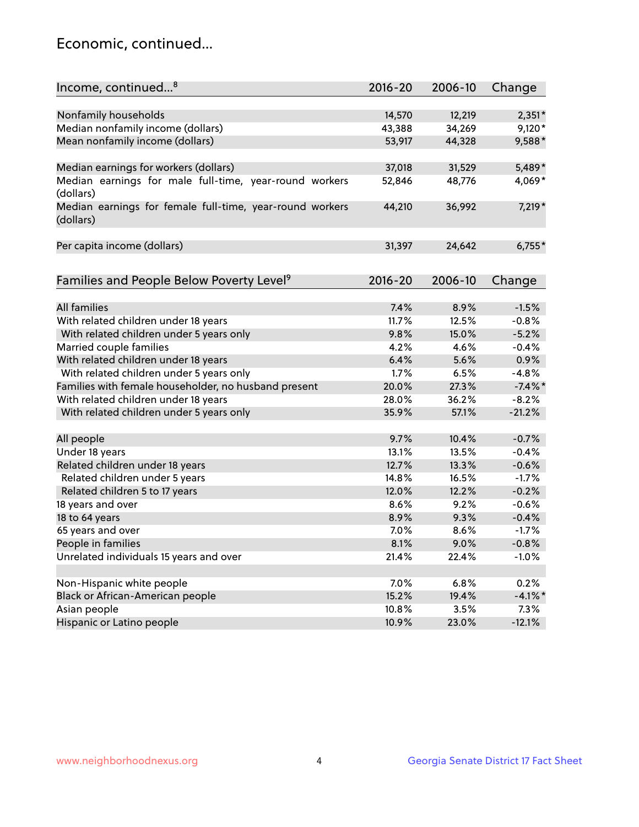## Economic, continued...

| Income, continued <sup>8</sup>                                        | $2016 - 20$ | 2006-10 | Change     |
|-----------------------------------------------------------------------|-------------|---------|------------|
|                                                                       |             |         |            |
| Nonfamily households                                                  | 14,570      | 12,219  | $2,351*$   |
| Median nonfamily income (dollars)                                     | 43,388      | 34,269  | $9,120*$   |
| Mean nonfamily income (dollars)                                       | 53,917      | 44,328  | 9,588*     |
| Median earnings for workers (dollars)                                 | 37,018      | 31,529  | 5,489*     |
| Median earnings for male full-time, year-round workers                | 52,846      | 48,776  | 4,069*     |
| (dollars)                                                             |             |         |            |
| Median earnings for female full-time, year-round workers<br>(dollars) | 44,210      | 36,992  | 7,219 *    |
| Per capita income (dollars)                                           | 31,397      | 24,642  | $6,755*$   |
|                                                                       |             |         |            |
| Families and People Below Poverty Level <sup>9</sup>                  | $2016 - 20$ | 2006-10 | Change     |
|                                                                       |             |         |            |
| <b>All families</b>                                                   | 7.4%        | 8.9%    | $-1.5%$    |
| With related children under 18 years                                  | 11.7%       | 12.5%   | $-0.8%$    |
| With related children under 5 years only                              | 9.8%        | 15.0%   | $-5.2%$    |
| Married couple families                                               | 4.2%        | 4.6%    | $-0.4%$    |
| With related children under 18 years                                  | 6.4%        | 5.6%    | 0.9%       |
| With related children under 5 years only                              | 1.7%        | 6.5%    | $-4.8%$    |
| Families with female householder, no husband present                  | 20.0%       | 27.3%   | $-7.4%$ *  |
| With related children under 18 years                                  | 28.0%       | 36.2%   | $-8.2%$    |
| With related children under 5 years only                              | 35.9%       | 57.1%   | $-21.2%$   |
| All people                                                            | 9.7%        | 10.4%   | $-0.7%$    |
| Under 18 years                                                        | 13.1%       | 13.5%   | $-0.4%$    |
| Related children under 18 years                                       | 12.7%       | 13.3%   | $-0.6%$    |
| Related children under 5 years                                        | 14.8%       | 16.5%   | $-1.7%$    |
| Related children 5 to 17 years                                        | 12.0%       | 12.2%   | $-0.2%$    |
| 18 years and over                                                     | 8.6%        | 9.2%    | $-0.6%$    |
| 18 to 64 years                                                        | 8.9%        | 9.3%    | $-0.4%$    |
| 65 years and over                                                     | 7.0%        | 8.6%    | $-1.7%$    |
| People in families                                                    | 8.1%        | 9.0%    | $-0.8%$    |
| Unrelated individuals 15 years and over                               | 21.4%       | 22.4%   | $-1.0%$    |
|                                                                       |             |         |            |
| Non-Hispanic white people                                             | 7.0%        | 6.8%    | 0.2%       |
|                                                                       | 15.2%       | 19.4%   | $-4.1\%$ * |
| Black or African-American people                                      | 10.8%       | 3.5%    | 7.3%       |
| Asian people                                                          | 10.9%       | 23.0%   | $-12.1%$   |
| Hispanic or Latino people                                             |             |         |            |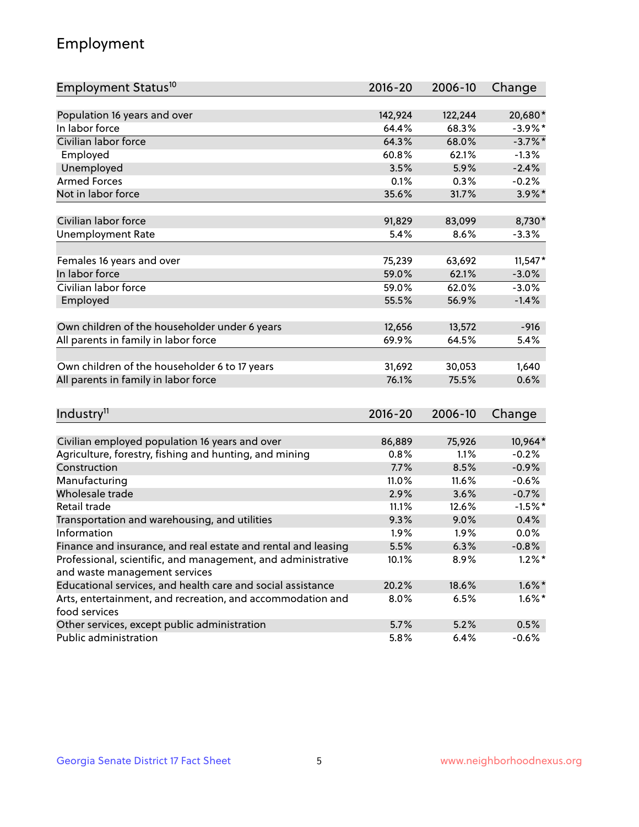## Employment

| Employment Status <sup>10</sup>                                             | $2016 - 20$ | 2006-10 | Change     |
|-----------------------------------------------------------------------------|-------------|---------|------------|
| Population 16 years and over                                                | 142,924     | 122,244 | 20,680*    |
| In labor force                                                              | 64.4%       | 68.3%   | $-3.9\%$ * |
| Civilian labor force                                                        | 64.3%       | 68.0%   | $-3.7\%$ * |
|                                                                             |             |         |            |
| Employed                                                                    | 60.8%       | 62.1%   | $-1.3%$    |
| Unemployed                                                                  | 3.5%        | 5.9%    | $-2.4%$    |
| <b>Armed Forces</b>                                                         | 0.1%        | 0.3%    | $-0.2%$    |
| Not in labor force                                                          | 35.6%       | 31.7%   | $3.9\%$ *  |
| Civilian labor force                                                        | 91,829      | 83,099  | 8,730*     |
| <b>Unemployment Rate</b>                                                    | 5.4%        | 8.6%    | $-3.3%$    |
|                                                                             |             |         |            |
| Females 16 years and over                                                   | 75,239      | 63,692  | $11,547*$  |
| In labor force                                                              | 59.0%       | 62.1%   | $-3.0%$    |
| Civilian labor force                                                        | 59.0%       | 62.0%   | $-3.0%$    |
| Employed                                                                    | 55.5%       | 56.9%   | $-1.4%$    |
|                                                                             |             |         |            |
| Own children of the householder under 6 years                               | 12,656      | 13,572  | $-916$     |
| All parents in family in labor force                                        | 69.9%       | 64.5%   | 5.4%       |
|                                                                             |             |         |            |
| Own children of the householder 6 to 17 years                               | 31,692      | 30,053  | 1,640      |
| All parents in family in labor force                                        | 76.1%       | 75.5%   | 0.6%       |
|                                                                             |             |         |            |
| Industry <sup>11</sup>                                                      | $2016 - 20$ | 2006-10 | Change     |
|                                                                             |             |         |            |
| Civilian employed population 16 years and over                              | 86,889      | 75,926  | 10,964*    |
| Agriculture, forestry, fishing and hunting, and mining                      | 0.8%        | 1.1%    | $-0.2%$    |
| Construction                                                                | 7.7%        | 8.5%    | $-0.9%$    |
| Manufacturing                                                               | 11.0%       | 11.6%   | $-0.6%$    |
| Wholesale trade                                                             | 2.9%        | 3.6%    | $-0.7%$    |
| Retail trade                                                                | 11.1%       | 12.6%   | $-1.5%$ *  |
| Transportation and warehousing, and utilities                               | 9.3%        | 9.0%    | 0.4%       |
| Information                                                                 | 1.9%        | 1.9%    | 0.0%       |
| Finance and insurance, and real estate and rental and leasing               | 5.5%        | 6.3%    | $-0.8\%$   |
| Professional, scientific, and management, and administrative                | 10.1%       | 8.9%    | $1.2\%$ *  |
| and waste management services                                               |             |         |            |
| Educational services, and health care and social assistance                 | 20.2%       | 18.6%   | $1.6\%$ *  |
| Arts, entertainment, and recreation, and accommodation and<br>food services | 8.0%        | 6.5%    | $1.6\%$ *  |
| Other services, except public administration                                | 5.7%        | 5.2%    | 0.5%       |
| Public administration                                                       | 5.8%        | 6.4%    | $-0.6%$    |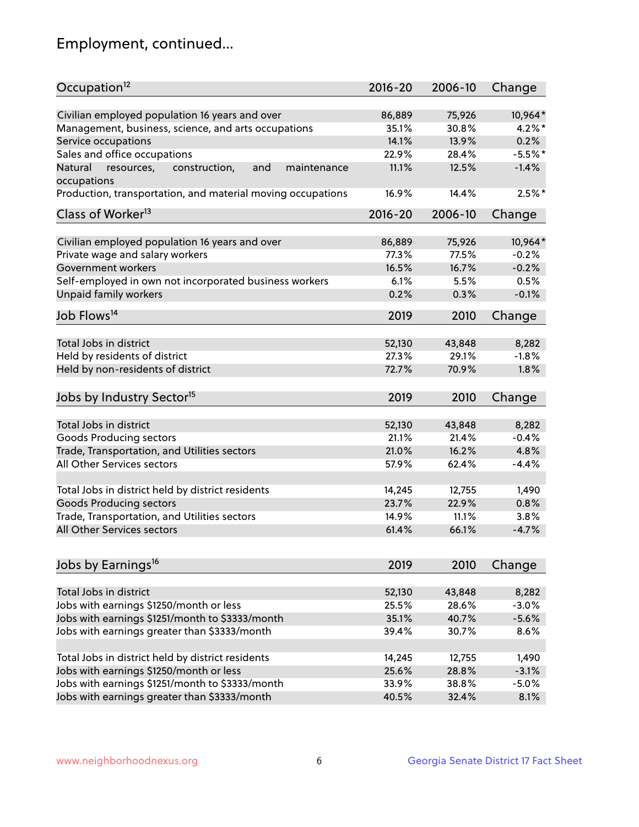## Employment, continued...

| Occupation <sup>12</sup>                                     | $2016 - 20$ | 2006-10 | Change    |
|--------------------------------------------------------------|-------------|---------|-----------|
| Civilian employed population 16 years and over               | 86,889      | 75,926  | 10,964*   |
| Management, business, science, and arts occupations          | 35.1%       | 30.8%   | $4.2\%$ * |
| Service occupations                                          | 14.1%       | 13.9%   | 0.2%      |
| Sales and office occupations                                 | 22.9%       | 28.4%   | $-5.5%$ * |
| Natural<br>resources,<br>and<br>construction,<br>maintenance | 11.1%       | 12.5%   | $-1.4%$   |
| occupations                                                  |             |         |           |
| Production, transportation, and material moving occupations  | 16.9%       | 14.4%   | $2.5%$ *  |
| Class of Worker <sup>13</sup>                                | 2016-20     | 2006-10 | Change    |
|                                                              |             |         |           |
| Civilian employed population 16 years and over               | 86,889      | 75,926  | 10,964*   |
| Private wage and salary workers                              | 77.3%       | 77.5%   | $-0.2%$   |
| Government workers                                           | 16.5%       | 16.7%   | $-0.2%$   |
| Self-employed in own not incorporated business workers       | 6.1%        | 5.5%    | 0.5%      |
| Unpaid family workers                                        | 0.2%        | 0.3%    | $-0.1%$   |
| Job Flows <sup>14</sup>                                      | 2019        | 2010    | Change    |
|                                                              |             |         |           |
| Total Jobs in district                                       | 52,130      | 43,848  | 8,282     |
| Held by residents of district                                | 27.3%       | 29.1%   | $-1.8%$   |
| Held by non-residents of district                            | 72.7%       | 70.9%   | 1.8%      |
| Jobs by Industry Sector <sup>15</sup>                        | 2019        | 2010    | Change    |
|                                                              |             |         |           |
| Total Jobs in district                                       | 52,130      | 43,848  | 8,282     |
| Goods Producing sectors                                      | 21.1%       | 21.4%   | $-0.4%$   |
| Trade, Transportation, and Utilities sectors                 | 21.0%       | 16.2%   | 4.8%      |
| All Other Services sectors                                   | 57.9%       | 62.4%   | $-4.4%$   |
|                                                              |             |         |           |
| Total Jobs in district held by district residents            | 14,245      | 12,755  | 1,490     |
| <b>Goods Producing sectors</b>                               | 23.7%       | 22.9%   | 0.8%      |
| Trade, Transportation, and Utilities sectors                 | 14.9%       | 11.1%   | 3.8%      |
| All Other Services sectors                                   | 61.4%       | 66.1%   | $-4.7%$   |
| Jobs by Earnings <sup>16</sup>                               | 2019        | 2010    | Change    |
|                                                              |             |         |           |
| Total Jobs in district                                       | 52,130      | 43,848  | 8,282     |
| Jobs with earnings \$1250/month or less                      | 25.5%       | 28.6%   | $-3.0%$   |
| Jobs with earnings \$1251/month to \$3333/month              | 35.1%       | 40.7%   | $-5.6%$   |
| Jobs with earnings greater than \$3333/month                 | 39.4%       | 30.7%   | 8.6%      |
|                                                              |             |         |           |
| Total Jobs in district held by district residents            | 14,245      | 12,755  | 1,490     |
| Jobs with earnings \$1250/month or less                      | 25.6%       | 28.8%   | $-3.1%$   |
| Jobs with earnings \$1251/month to \$3333/month              | 33.9%       | 38.8%   | $-5.0%$   |
| Jobs with earnings greater than \$3333/month                 | 40.5%       | 32.4%   | 8.1%      |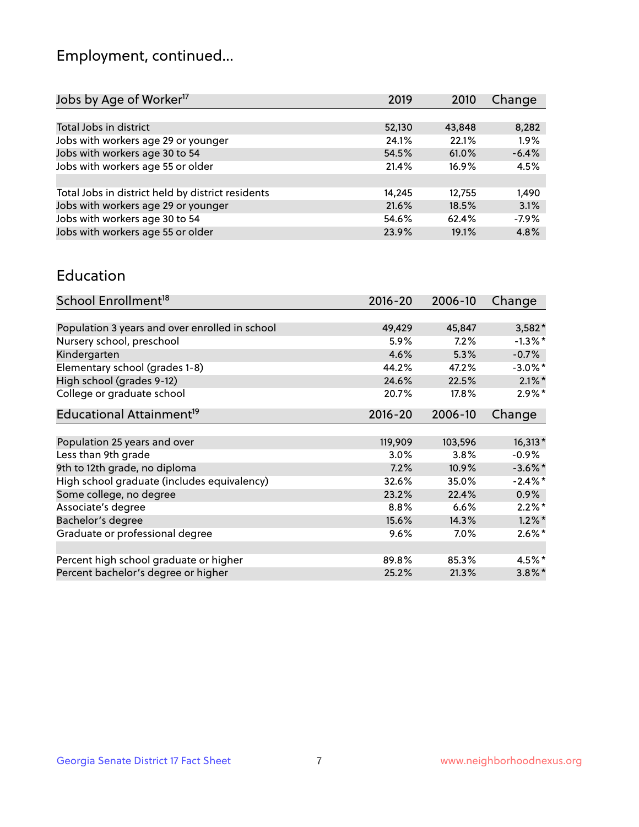## Employment, continued...

| 2019   | 2010   | Change  |
|--------|--------|---------|
|        |        |         |
| 52,130 | 43,848 | 8,282   |
| 24.1%  | 22.1%  | 1.9%    |
| 54.5%  | 61.0%  | $-6.4%$ |
| 21.4%  | 16.9%  | 4.5%    |
|        |        |         |
| 14,245 | 12,755 | 1,490   |
| 21.6%  | 18.5%  | 3.1%    |
| 54.6%  | 62.4%  | $-7.9%$ |
| 23.9%  | 19.1%  | 4.8%    |
|        |        |         |

#### Education

| School Enrollment <sup>18</sup>                | $2016 - 20$ | 2006-10 | Change     |
|------------------------------------------------|-------------|---------|------------|
|                                                |             |         |            |
| Population 3 years and over enrolled in school | 49,429      | 45,847  | $3,582*$   |
| Nursery school, preschool                      | 5.9%        | 7.2%    | $-1.3\%$ * |
| Kindergarten                                   | 4.6%        | 5.3%    | $-0.7%$    |
| Elementary school (grades 1-8)                 | 44.2%       | 47.2%   | $-3.0\%$ * |
| High school (grades 9-12)                      | 24.6%       | 22.5%   | $2.1\%$ *  |
| College or graduate school                     | 20.7%       | 17.8%   | $2.9\%$ *  |
| Educational Attainment <sup>19</sup>           | 2016-20     | 2006-10 | Change     |
|                                                |             |         |            |
| Population 25 years and over                   | 119,909     | 103,596 | $16,313*$  |
| Less than 9th grade                            | 3.0%        | 3.8%    | $-0.9\%$   |
| 9th to 12th grade, no diploma                  | 7.2%        | 10.9%   | $-3.6\%$ * |
| High school graduate (includes equivalency)    | 32.6%       | 35.0%   | $-2.4\%$ * |
| Some college, no degree                        | 23.2%       | 22.4%   | $0.9\%$    |
| Associate's degree                             | 8.8%        | 6.6%    | $2.2\%$ *  |
| Bachelor's degree                              | 15.6%       | 14.3%   | $1.2\%$ *  |
| Graduate or professional degree                | 9.6%        | $7.0\%$ | $2.6\%$ *  |
|                                                |             |         |            |
| Percent high school graduate or higher         | 89.8%       | 85.3%   | 4.5%*      |
| Percent bachelor's degree or higher            | 25.2%       | 21.3%   | $3.8\%$ *  |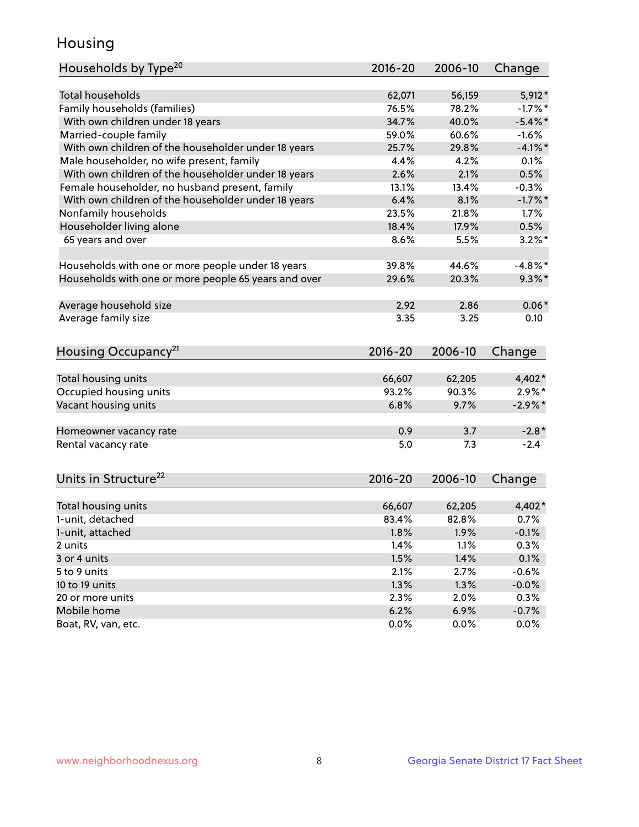## Housing

| Households by Type <sup>20</sup>                     | 2016-20 | 2006-10 | Change     |
|------------------------------------------------------|---------|---------|------------|
|                                                      |         |         |            |
| <b>Total households</b>                              | 62,071  | 56,159  | $5,912*$   |
| Family households (families)                         | 76.5%   | 78.2%   | $-1.7%$ *  |
| With own children under 18 years                     | 34.7%   | 40.0%   | $-5.4\%$ * |
| Married-couple family                                | 59.0%   | 60.6%   | $-1.6%$    |
| With own children of the householder under 18 years  | 25.7%   | 29.8%   | $-4.1\%$ * |
| Male householder, no wife present, family            | 4.4%    | 4.2%    | 0.1%       |
| With own children of the householder under 18 years  | 2.6%    | 2.1%    | 0.5%       |
| Female householder, no husband present, family       | 13.1%   | 13.4%   | $-0.3%$    |
| With own children of the householder under 18 years  | 6.4%    | 8.1%    | $-1.7%$ *  |
| Nonfamily households                                 | 23.5%   | 21.8%   | $1.7\%$    |
| Householder living alone                             | 18.4%   | 17.9%   | 0.5%       |
| 65 years and over                                    | 8.6%    | 5.5%    | $3.2\%$ *  |
|                                                      |         |         |            |
| Households with one or more people under 18 years    | 39.8%   | 44.6%   | $-4.8\%$ * |
| Households with one or more people 65 years and over | 29.6%   | 20.3%   | $9.3\%$ *  |
|                                                      |         |         |            |
| Average household size                               | 2.92    | 2.86    | $0.06*$    |
| Average family size                                  | 3.35    | 3.25    | 0.10       |
| Housing Occupancy <sup>21</sup>                      | 2016-20 | 2006-10 | Change     |
|                                                      |         |         |            |
| Total housing units                                  | 66,607  | 62,205  | $4,402*$   |
| Occupied housing units                               | 93.2%   | 90.3%   | $2.9\%*$   |
| Vacant housing units                                 | 6.8%    | 9.7%    | $-2.9\%$ * |
|                                                      |         |         |            |
| Homeowner vacancy rate                               | 0.9     | 3.7     | $-2.8*$    |
| Rental vacancy rate                                  | 5.0     | 7.3     | $-2.4$     |
|                                                      |         |         |            |
| Units in Structure <sup>22</sup>                     | 2016-20 | 2006-10 | Change     |
|                                                      |         |         |            |
| Total housing units<br>1-unit, detached              | 66,607  | 62,205  | 4,402*     |
|                                                      | 83.4%   | 82.8%   | 0.7%       |
| 1-unit, attached                                     | 1.8%    | 1.9%    | $-0.1%$    |
| 2 units                                              | 1.4%    | 1.1%    | 0.3%       |
| 3 or 4 units                                         | 1.5%    | 1.4%    | 0.1%       |
| 5 to 9 units                                         | 2.1%    | 2.7%    | $-0.6%$    |
| 10 to 19 units                                       | 1.3%    | 1.3%    | $-0.0%$    |
| 20 or more units                                     | 2.3%    | 2.0%    | 0.3%       |
| Mobile home                                          | 6.2%    | 6.9%    | $-0.7%$    |
| Boat, RV, van, etc.                                  | 0.0%    | 0.0%    | 0.0%       |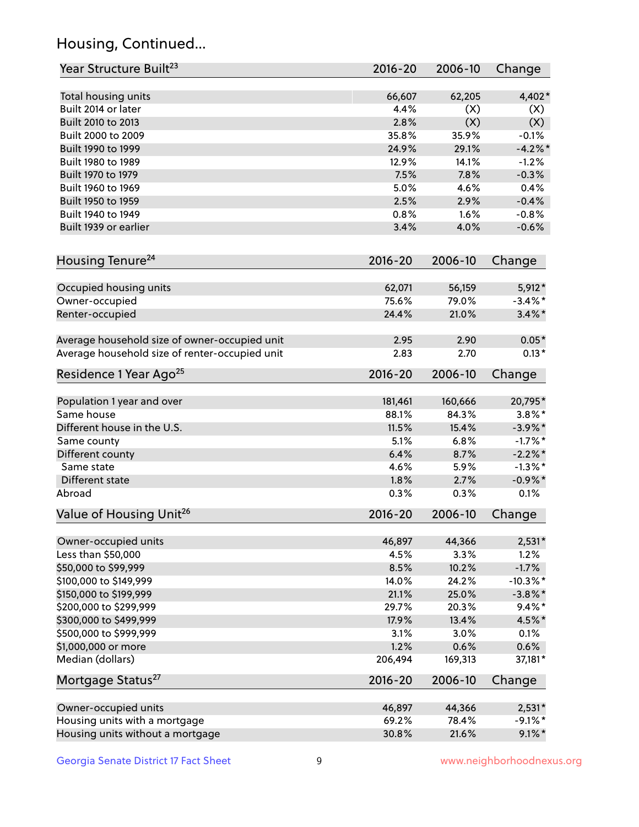## Housing, Continued...

| Year Structure Built <sup>23</sup>             | 2016-20     | 2006-10 | Change      |
|------------------------------------------------|-------------|---------|-------------|
| Total housing units                            | 66,607      | 62,205  | 4,402*      |
| Built 2014 or later                            | 4.4%        | (X)     | (X)         |
| Built 2010 to 2013                             | 2.8%        | (X)     | (X)         |
| Built 2000 to 2009                             | 35.8%       | 35.9%   | $-0.1%$     |
| Built 1990 to 1999                             | 24.9%       | 29.1%   | $-4.2%$     |
| Built 1980 to 1989                             | 12.9%       | 14.1%   | $-1.2%$     |
| Built 1970 to 1979                             | 7.5%        | 7.8%    | $-0.3%$     |
| Built 1960 to 1969                             | 5.0%        | 4.6%    | 0.4%        |
| Built 1950 to 1959                             | 2.5%        | 2.9%    | $-0.4%$     |
| Built 1940 to 1949                             | 0.8%        | 1.6%    | $-0.8%$     |
| Built 1939 or earlier                          | 3.4%        | 4.0%    | $-0.6%$     |
| Housing Tenure <sup>24</sup>                   | $2016 - 20$ | 2006-10 | Change      |
|                                                |             |         |             |
| Occupied housing units                         | 62,071      | 56,159  | $5,912*$    |
| Owner-occupied                                 | 75.6%       | 79.0%   | $-3.4\%$ *  |
| Renter-occupied                                | 24.4%       | 21.0%   | $3.4\%$ *   |
| Average household size of owner-occupied unit  | 2.95        | 2.90    | $0.05*$     |
| Average household size of renter-occupied unit | 2.83        | 2.70    | $0.13*$     |
| Residence 1 Year Ago <sup>25</sup>             | $2016 - 20$ | 2006-10 | Change      |
| Population 1 year and over                     | 181,461     | 160,666 | 20,795*     |
| Same house                                     | 88.1%       | 84.3%   | $3.8\%$ *   |
| Different house in the U.S.                    | 11.5%       | 15.4%   | $-3.9\%$ *  |
| Same county                                    | 5.1%        | 6.8%    | $-1.7%$ *   |
| Different county                               | 6.4%        | 8.7%    | $-2.2\%$ *  |
| Same state                                     | 4.6%        | 5.9%    | $-1.3\%$ *  |
| Different state                                | 1.8%        | 2.7%    | $-0.9\%$ *  |
| Abroad                                         | 0.3%        | 0.3%    | 0.1%        |
| Value of Housing Unit <sup>26</sup>            | 2016-20     | 2006-10 | Change      |
|                                                |             |         |             |
| Owner-occupied units                           | 46,897      | 44,366  | $2,531*$    |
| Less than \$50,000                             | 4.5%        | 3.3%    | 1.2%        |
| \$50,000 to \$99,999                           | 8.5%        | 10.2%   | $-1.7%$     |
| \$100,000 to \$149,999                         | 14.0%       | 24.2%   | $-10.3\%$ * |
| \$150,000 to \$199,999                         | 21.1%       | 25.0%   | $-3.8\%$ *  |
| \$200,000 to \$299,999                         | 29.7%       | 20.3%   | $9.4\%$ *   |
| \$300,000 to \$499,999                         | 17.9%       | 13.4%   | 4.5%*       |
| \$500,000 to \$999,999                         | 3.1%        | 3.0%    | 0.1%        |
| \$1,000,000 or more                            | 1.2%        | 0.6%    | 0.6%        |
| Median (dollars)                               | 206,494     | 169,313 | 37,181*     |
| Mortgage Status <sup>27</sup>                  | $2016 - 20$ | 2006-10 | Change      |
| Owner-occupied units                           | 46,897      | 44,366  | $2,531*$    |
| Housing units with a mortgage                  | 69.2%       | 78.4%   | $-9.1\%$ *  |
| Housing units without a mortgage               | 30.8%       | 21.6%   | $9.1\%$ *   |
|                                                |             |         |             |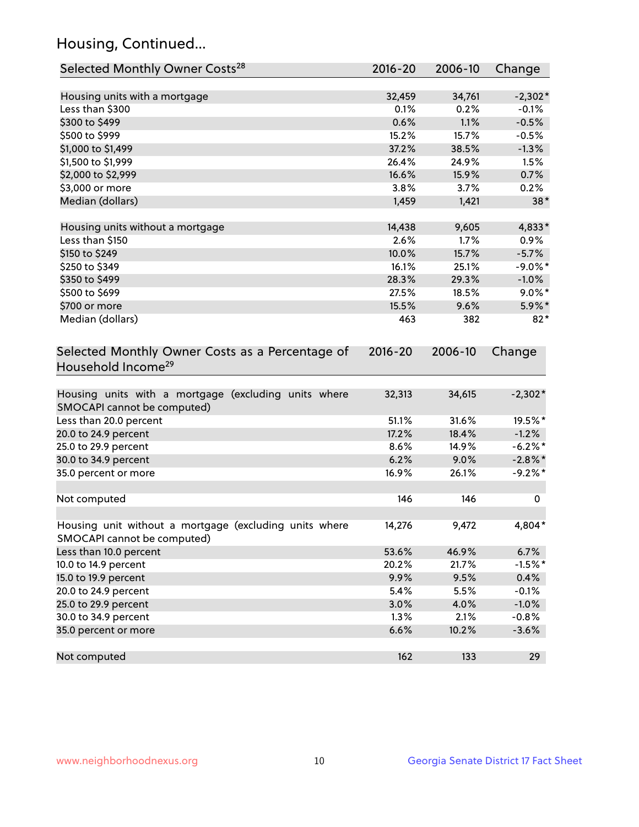## Housing, Continued...

| Selected Monthly Owner Costs <sup>28</sup>                                            | $2016 - 20$ | 2006-10 | Change     |
|---------------------------------------------------------------------------------------|-------------|---------|------------|
| Housing units with a mortgage                                                         | 32,459      | 34,761  | $-2,302*$  |
| Less than \$300                                                                       | 0.1%        | 0.2%    | $-0.1%$    |
| \$300 to \$499                                                                        | 0.6%        | 1.1%    | $-0.5%$    |
| \$500 to \$999                                                                        | 15.2%       | 15.7%   | $-0.5%$    |
| \$1,000 to \$1,499                                                                    | 37.2%       | 38.5%   | $-1.3%$    |
| \$1,500 to \$1,999                                                                    | 26.4%       | 24.9%   | 1.5%       |
| \$2,000 to \$2,999                                                                    | 16.6%       | 15.9%   | 0.7%       |
| \$3,000 or more                                                                       | 3.8%        | 3.7%    | 0.2%       |
| Median (dollars)                                                                      | 1,459       | 1,421   | $38*$      |
| Housing units without a mortgage                                                      | 14,438      | 9,605   | 4,833*     |
| Less than \$150                                                                       | 2.6%        | 1.7%    | 0.9%       |
| \$150 to \$249                                                                        | 10.0%       | 15.7%   | $-5.7%$    |
| \$250 to \$349                                                                        | 16.1%       | 25.1%   | $-9.0\%$ * |
| \$350 to \$499                                                                        | 28.3%       | 29.3%   | $-1.0\%$   |
| \$500 to \$699                                                                        | 27.5%       | 18.5%   | $9.0\%$ *  |
| \$700 or more                                                                         | 15.5%       | 9.6%    | 5.9%*      |
| Median (dollars)                                                                      | 463         | 382     | $82*$      |
| Selected Monthly Owner Costs as a Percentage of<br>Household Income <sup>29</sup>     | $2016 - 20$ | 2006-10 | Change     |
| Housing units with a mortgage (excluding units where<br>SMOCAPI cannot be computed)   | 32,313      | 34,615  | $-2,302*$  |
| Less than 20.0 percent                                                                | 51.1%       | 31.6%   | 19.5%*     |
| 20.0 to 24.9 percent                                                                  | 17.2%       | 18.4%   | $-1.2%$    |
| 25.0 to 29.9 percent                                                                  | 8.6%        | 14.9%   | $-6.2\%$ * |
| 30.0 to 34.9 percent                                                                  | 6.2%        | 9.0%    | $-2.8\%$ * |
| 35.0 percent or more                                                                  | 16.9%       | 26.1%   | $-9.2%$ *  |
| Not computed                                                                          | 146         | 146     | 0          |
| Housing unit without a mortgage (excluding units where<br>SMOCAPI cannot be computed) | 14,276      | 9,472   | 4,804*     |
| Less than 10.0 percent                                                                | 53.6%       | 46.9%   | 6.7%       |
| 10.0 to 14.9 percent                                                                  | 20.2%       | 21.7%   | $-1.5%$ *  |
| 15.0 to 19.9 percent                                                                  | 9.9%        | 9.5%    | 0.4%       |
| 20.0 to 24.9 percent                                                                  | 5.4%        | 5.5%    | $-0.1%$    |
| 25.0 to 29.9 percent                                                                  | 3.0%        | 4.0%    | $-1.0%$    |
| 30.0 to 34.9 percent                                                                  | 1.3%        | 2.1%    | $-0.8%$    |
| 35.0 percent or more                                                                  | 6.6%        | 10.2%   | $-3.6%$    |
| Not computed                                                                          | 162         | 133     | 29         |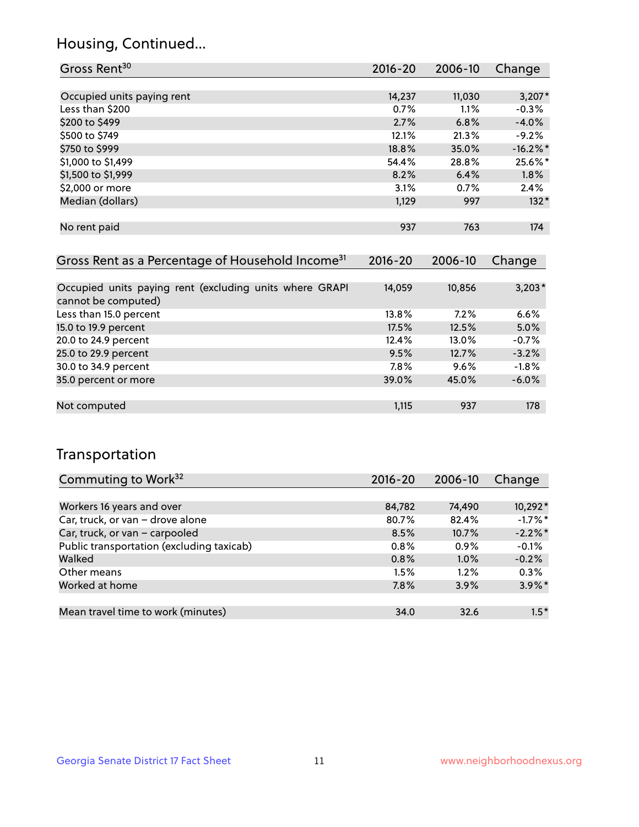## Housing, Continued...

| Gross Rent <sup>30</sup>   | 2016-20 | 2006-10 | Change      |
|----------------------------|---------|---------|-------------|
|                            |         |         |             |
| Occupied units paying rent | 14,237  | 11,030  | $3,207*$    |
| Less than \$200            | 0.7%    | 1.1%    | $-0.3%$     |
| \$200 to \$499             | 2.7%    | 6.8%    | $-4.0%$     |
| \$500 to \$749             | 12.1%   | 21.3%   | $-9.2%$     |
| \$750 to \$999             | 18.8%   | 35.0%   | $-16.2\%$ * |
| \$1,000 to \$1,499         | 54.4%   | 28.8%   | 25.6%*      |
| \$1,500 to \$1,999         | 8.2%    | 6.4%    | 1.8%        |
| \$2,000 or more            | 3.1%    | 0.7%    | 2.4%        |
| Median (dollars)           | 1,129   | 997     | $132*$      |
|                            |         |         |             |
| No rent paid               | 937     | 763     | 174         |
|                            |         |         |             |

| Gross Rent as a Percentage of Household Income <sup>31</sup>                   | $2016 - 20$ | 2006-10 | Change   |
|--------------------------------------------------------------------------------|-------------|---------|----------|
|                                                                                |             |         |          |
| Occupied units paying rent (excluding units where GRAPI<br>cannot be computed) | 14,059      | 10,856  | $3,203*$ |
| Less than 15.0 percent                                                         | 13.8%       | 7.2%    | 6.6%     |
| 15.0 to 19.9 percent                                                           | 17.5%       | 12.5%   | 5.0%     |
| 20.0 to 24.9 percent                                                           | 12.4%       | 13.0%   | $-0.7%$  |
| 25.0 to 29.9 percent                                                           | 9.5%        | 12.7%   | $-3.2%$  |
| 30.0 to 34.9 percent                                                           | $7.8\%$     | 9.6%    | $-1.8%$  |
| 35.0 percent or more                                                           | 39.0%       | 45.0%   | $-6.0%$  |
|                                                                                |             |         |          |
| Not computed                                                                   | 1,115       | 937     | 178      |

## Transportation

| Commuting to Work <sup>32</sup>           | 2016-20 | 2006-10 | Change     |
|-------------------------------------------|---------|---------|------------|
|                                           |         |         |            |
| Workers 16 years and over                 | 84,782  | 74,490  | 10,292*    |
| Car, truck, or van - drove alone          | 80.7%   | 82.4%   | $-1.7%$ *  |
| Car, truck, or van - carpooled            | 8.5%    | 10.7%   | $-2.2\%$ * |
| Public transportation (excluding taxicab) | 0.8%    | $0.9\%$ | $-0.1%$    |
| Walked                                    | 0.8%    | 1.0%    | $-0.2%$    |
| Other means                               | 1.5%    | $1.2\%$ | 0.3%       |
| Worked at home                            | 7.8%    | 3.9%    | $3.9\%$ *  |
|                                           |         |         |            |
| Mean travel time to work (minutes)        | 34.0    | 32.6    | $1.5*$     |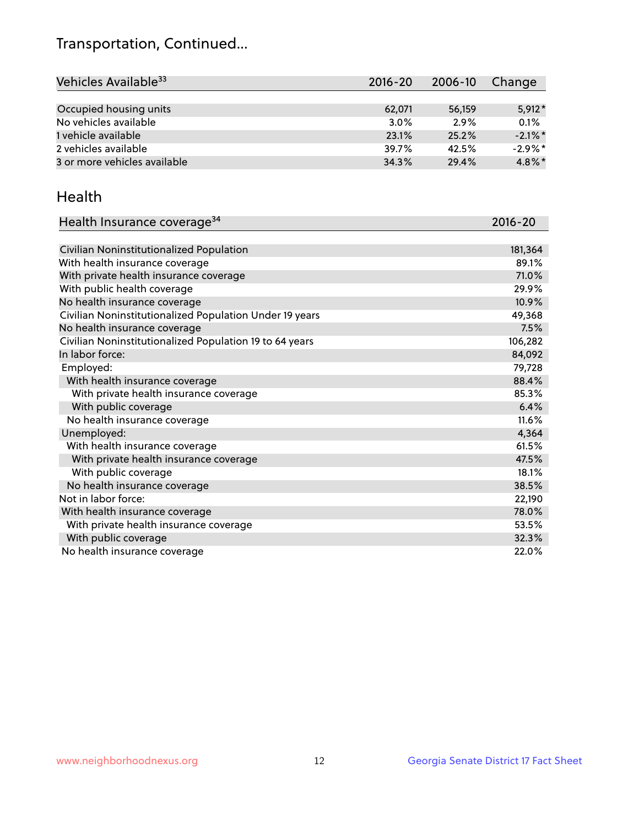## Transportation, Continued...

| Vehicles Available <sup>33</sup> | $2016 - 20$ | 2006-10 | Change     |
|----------------------------------|-------------|---------|------------|
|                                  |             |         |            |
| Occupied housing units           | 62,071      | 56,159  | $5,912*$   |
| No vehicles available            | 3.0%        | 2.9%    | 0.1%       |
| 1 vehicle available              | 23.1%       | 25.2%   | $-2.1\%$ * |
| 2 vehicles available             | 39.7%       | 42.5%   | $-2.9\%$ * |
| 3 or more vehicles available     | 34.3%       | 29.4%   | $4.8\%$ *  |

#### Health

| Health Insurance coverage <sup>34</sup>                 | 2016-20 |
|---------------------------------------------------------|---------|
|                                                         |         |
| Civilian Noninstitutionalized Population                | 181,364 |
| With health insurance coverage                          | 89.1%   |
| With private health insurance coverage                  | 71.0%   |
| With public health coverage                             | 29.9%   |
| No health insurance coverage                            | 10.9%   |
| Civilian Noninstitutionalized Population Under 19 years | 49,368  |
| No health insurance coverage                            | 7.5%    |
| Civilian Noninstitutionalized Population 19 to 64 years | 106,282 |
| In labor force:                                         | 84,092  |
| Employed:                                               | 79,728  |
| With health insurance coverage                          | 88.4%   |
| With private health insurance coverage                  | 85.3%   |
| With public coverage                                    | 6.4%    |
| No health insurance coverage                            | 11.6%   |
| Unemployed:                                             | 4,364   |
| With health insurance coverage                          | 61.5%   |
| With private health insurance coverage                  | 47.5%   |
| With public coverage                                    | 18.1%   |
| No health insurance coverage                            | 38.5%   |
| Not in labor force:                                     | 22,190  |
| With health insurance coverage                          | 78.0%   |
| With private health insurance coverage                  | 53.5%   |
| With public coverage                                    | 32.3%   |
| No health insurance coverage                            | 22.0%   |